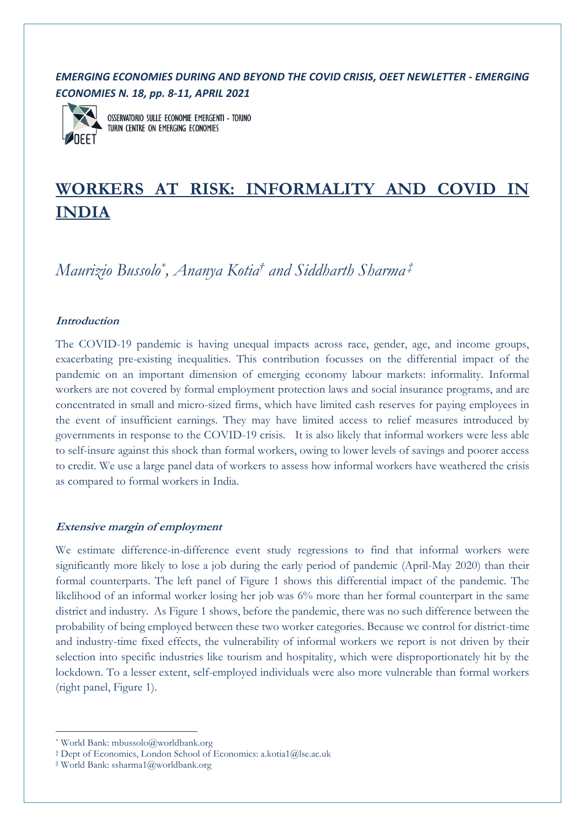## *EMERGING ECONOMIES DURING AND BEYOND THE COVID CRISIS, OEET NEWLETTER - EMERGING ECONOMIES N. 18, pp. 8-11, APRIL 2021*



**OSSERVATORIO SULLE ECONOMIE EMERGENTI - TORINO** TURIN CENTRE ON EMERGING ECONOMIES

# **WORKERS AT RISK: INFORMALITY AND COVID IN INDIA**

*Maurizio Bussolo\* , Ananya Kotia† and Siddharth Sharma ‡*

## **Introduction**

The COVID-19 pandemic is having unequal impacts across race, gender, age, and income groups, exacerbating pre-existing inequalities. This contribution focusses on the differential impact of the pandemic on an important dimension of emerging economy labour markets: informality. Informal workers are not covered by formal employment protection laws and social insurance programs, and are concentrated in small and micro-sized firms, which have limited cash reserves for paying employees in the event of insufficient earnings. They may have limited access to relief measures introduced by governments in response to the COVID-19 crisis. It is also likely that informal workers were less able to self-insure against this shock than formal workers, owing to lower levels of savings and poorer access to credit. We use a large panel data of workers to assess how informal workers have weathered the crisis as compared to formal workers in India.

## **Extensive margin of employment**

We estimate difference-in-difference event study regressions to find that informal workers were significantly more likely to lose a job during the early period of pandemic (April-May 2020) than their formal counterparts. The left panel of Figure 1 shows this differential impact of the pandemic. The likelihood of an informal worker losing her job was 6% more than her formal counterpart in the same district and industry. As Figure 1 shows, before the pandemic, there was no such difference between the probability of being employed between these two worker categories. Because we control for district-time and industry-time fixed effects, the vulnerability of informal workers we report is not driven by their selection into specific industries like tourism and hospitality, which were disproportionately hit by the lockdown. To a lesser extent, self-employed individuals were also more vulnerable than formal workers (right panel, Figure 1).

<sup>\*</sup> World Bank: mbussolo@worldbank.org

<sup>†</sup> Dept of Economics, London School of Economics: a.kotia1@lse.ac.uk

<sup>‡</sup> World Bank: ssharma1@worldbank.org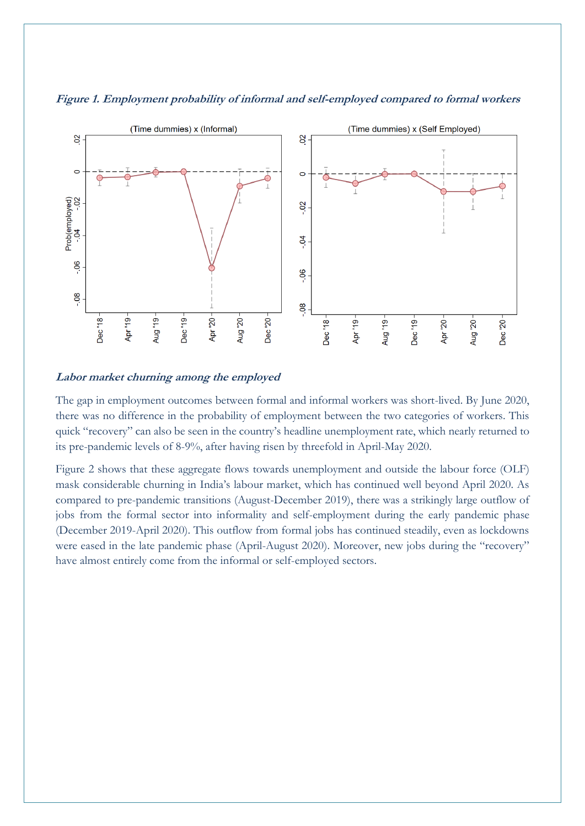

**Figure 1. Employment probability of informal and self-employed compared to formal workers**

#### **Labor market churning among the employed**

The gap in employment outcomes between formal and informal workers was short-lived. By June 2020, there was no difference in the probability of employment between the two categories of workers. This quick "recovery" can also be seen in the country's headline unemployment rate, which nearly returned to its pre-pandemic levels of 8-9%, after having risen by threefold in April-May 2020.

Figure 2 shows that these aggregate flows towards unemployment and outside the labour force (OLF) mask considerable churning in India's labour market, which has continued well beyond April 2020. As compared to pre-pandemic transitions (August-December 2019), there was a strikingly large outflow of jobs from the formal sector into informality and self-employment during the early pandemic phase (December 2019-April 2020). This outflow from formal jobs has continued steadily, even as lockdowns were eased in the late pandemic phase (April-August 2020). Moreover, new jobs during the "recovery" have almost entirely come from the informal or self-employed sectors.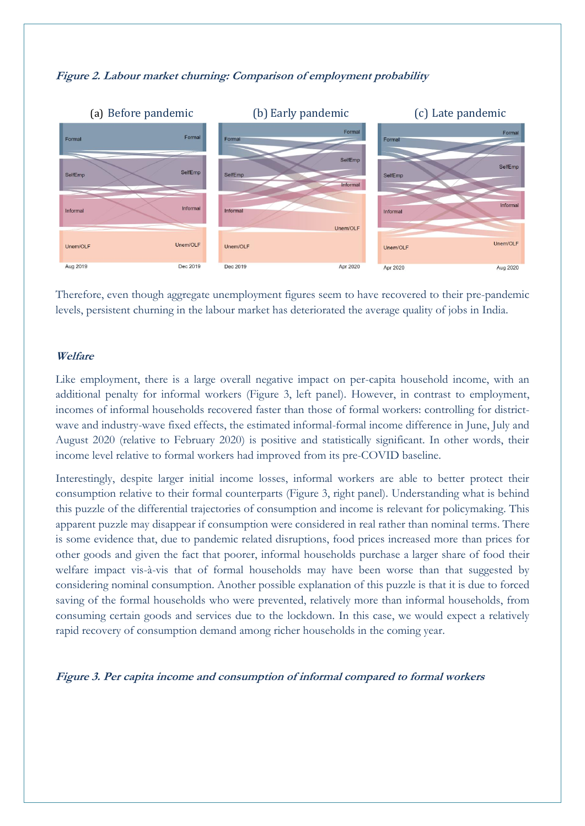

### **Figure 2. Labour market churning: Comparison of employment probability**

Therefore, even though aggregate unemployment figures seem to have recovered to their pre-pandemic levels, persistent churning in the labour market has deteriorated the average quality of jobs in India.

#### **Welfare**

Like employment, there is a large overall negative impact on per-capita household income, with an additional penalty for informal workers (Figure 3, left panel). However, in contrast to employment, incomes of informal households recovered faster than those of formal workers: controlling for districtwave and industry-wave fixed effects, the estimated informal-formal income difference in June, July and August 2020 (relative to February 2020) is positive and statistically significant. In other words, their income level relative to formal workers had improved from its pre-COVID baseline.

Interestingly, despite larger initial income losses, informal workers are able to better protect their consumption relative to their formal counterparts (Figure 3, right panel). Understanding what is behind this puzzle of the differential trajectories of consumption and income is relevant for policymaking. This apparent puzzle may disappear if consumption were considered in real rather than nominal terms. There is some evidence that, due to pandemic related disruptions, food prices increased more than prices for other goods and given the fact that poorer, informal households purchase a larger share of food their welfare impact vis-à-vis that of formal households may have been worse than that suggested by considering nominal consumption. Another possible explanation of this puzzle is that it is due to forced saving of the formal households who were prevented, relatively more than informal households, from consuming certain goods and services due to the lockdown. In this case, we would expect a relatively rapid recovery of consumption demand among richer households in the coming year.

**Figure 3. Per capita income and consumption of informal compared to formal workers**